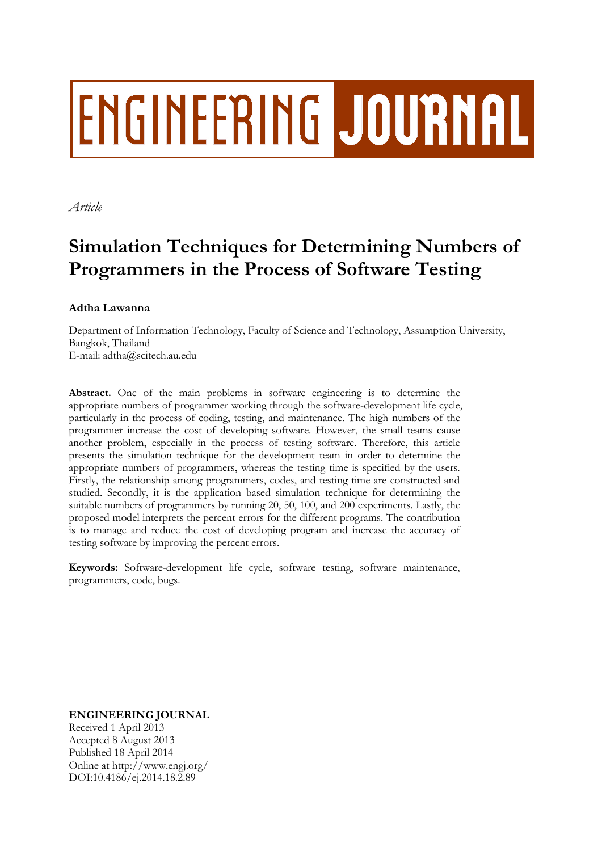# **ENGINEERING JOURNAL**

*Article*

# **Simulation Techniques for Determining Numbers of Programmers in the Process of Software Testing**

# **Adtha Lawanna**

Department of Information Technology, Faculty of Science and Technology, Assumption University, Bangkok, Thailand E-mail: adtha@scitech.au.edu

**Abstract.** One of the main problems in software engineering is to determine the appropriate numbers of programmer working through the software-development life cycle, particularly in the process of coding, testing, and maintenance. The high numbers of the programmer increase the cost of developing software. However, the small teams cause another problem, especially in the process of testing software. Therefore, this article presents the simulation technique for the development team in order to determine the appropriate numbers of programmers, whereas the testing time is specified by the users. Firstly, the relationship among programmers, codes, and testing time are constructed and studied. Secondly, it is the application based simulation technique for determining the suitable numbers of programmers by running 20, 50, 100, and 200 experiments. Lastly, the proposed model interprets the percent errors for the different programs. The contribution is to manage and reduce the cost of developing program and increase the accuracy of testing software by improving the percent errors.

**Keywords:** Software-development life cycle, software testing, software maintenance, programmers, code, bugs.

**ENGINEERING JOURNAL**

Received 1 April 2013 Accepted 8 August 2013 Published 18 April 2014 Online at http://www.engj.org/ DOI:10.4186/ej.2014.18.2.89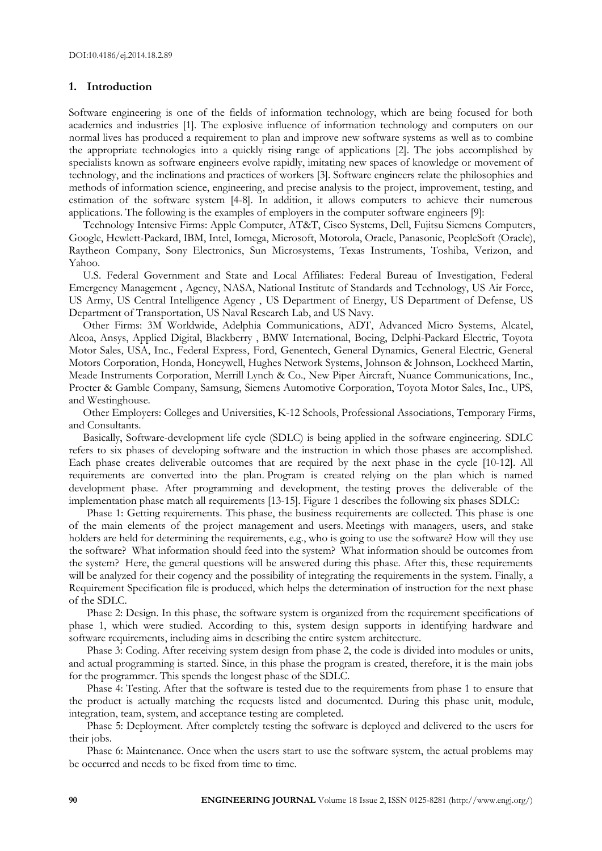#### **1. Introduction**

Software engineering is one of the fields of information technology, which are being focused for both academics and industries [1]. The explosive influence of information technology and computers on our normal lives has produced a requirement to plan and improve new software systems as well as to combine the appropriate technologies into a quickly rising range of applications [2]. The jobs accomplished by specialists known as software engineers evolve rapidly, imitating new spaces of knowledge or movement of technology, and the inclinations and practices of workers [3]. Software engineers relate the philosophies and methods of information science, engineering, and precise analysis to the project, improvement, testing, and estimation of the software system [4-8]. In addition, it allows computers to achieve their numerous applications. The following is the examples of employers in the computer software engineers [9]:

Technology Intensive Firms: Apple Computer, AT&T, Cisco Systems, Dell, Fujitsu Siemens Computers, Google, Hewlett-Packard, IBM, Intel, Iomega, Microsoft, Motorola, Oracle, Panasonic, PeopleSoft (Oracle), Raytheon Company, Sony Electronics, Sun Microsystems, Texas Instruments, Toshiba, Verizon, and Yahoo.

U.S. Federal Government and State and Local Affiliates: Federal Bureau of Investigation, Federal Emergency Management , Agency, NASA, National Institute of Standards and Technology, US Air Force, US Army, US Central Intelligence Agency , US Department of Energy, US Department of Defense, US Department of Transportation, US Naval Research Lab, and US Navy.

Other Firms: 3M Worldwide, Adelphia Communications, ADT, Advanced Micro Systems, Alcatel, Alcoa, Ansys, Applied Digital, Blackberry , BMW International, Boeing, Delphi-Packard Electric, Toyota Motor Sales, USA, Inc., Federal Express, Ford, Genentech, General Dynamics, General Electric, General Motors Corporation, Honda, Honeywell, Hughes Network Systems, Johnson & Johnson, Lockheed Martin, Meade Instruments Corporation, Merrill Lynch & Co., New Piper Aircraft, Nuance Communications, Inc., Procter & Gamble Company, Samsung, Siemens Automotive Corporation, Toyota Motor Sales, Inc., UPS, and Westinghouse.

Other Employers: Colleges and Universities, K-12 Schools, Professional Associations, Temporary Firms, and Consultants.

Basically, Software-development life cycle (SDLC) is being applied in the software engineering. SDLC refers to six phases of developing software and the instruction in which those phases are accomplished. Each phase creates deliverable outcomes that are required by the next phase in the cycle [10-12]. All requirements are converted into the plan. Program is created relying on the plan which is named development phase. After programming and development, the testing proves the deliverable of the implementation phase match all requirements [13-15]. Figure 1 describes the following six phases SDLC:

Phase 1: Getting requirements. This phase, the business requirements are collected. This phase is one of the main elements of the project management and users. Meetings with managers, users, and stake holders are held for determining the requirements, e.g., who is going to use the software? How will they use the software? What information should feed into the system? What information should be outcomes from the system? Here, the general questions will be answered during this phase. After this, these requirements will be analyzed for their cogency and the possibility of integrating the requirements in the system. Finally, a Requirement Specification file is produced, which helps the determination of instruction for the next phase of the SDLC.

Phase 2: Design. In this phase, the software system is organized from the requirement specifications of phase 1, which were studied. According to this, system design supports in identifying hardware and software requirements, including aims in describing the entire system architecture.

Phase 3: Coding. After receiving system design from phase 2, the code is divided into modules or units, and actual programming is started. Since, in this phase the program is created, therefore, it is the main jobs for the programmer. This spends the longest phase of the SDLC.

Phase 4: Testing. After that the software is tested due to the requirements from phase 1 to ensure that the product is actually matching the requests listed and documented. During this phase unit, module, integration, team, system, and acceptance testing are completed.

Phase 5: Deployment. After completely testing the software is deployed and delivered to the users for their jobs.

Phase 6: Maintenance. Once when the users start to use the software system, the actual problems may be occurred and needs to be fixed from time to time.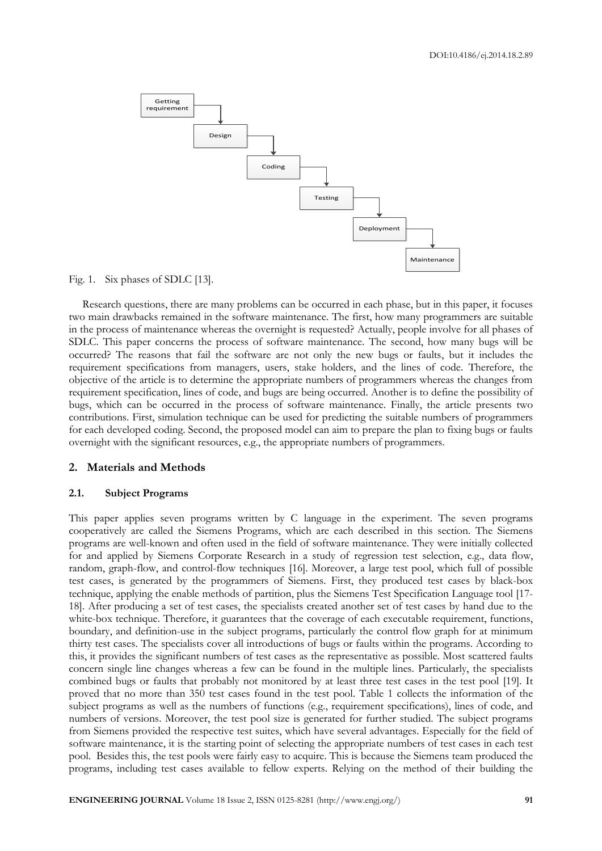

Fig. 1. Six phases of SDLC [13].

Research questions, there are many problems can be occurred in each phase, but in this paper, it focuses two main drawbacks remained in the software maintenance. The first, how many programmers are suitable in the process of maintenance whereas the overnight is requested? Actually, people involve for all phases of SDLC. This paper concerns the process of software maintenance. The second, how many bugs will be occurred? The reasons that fail the software are not only the new bugs or faults, but it includes the requirement specifications from managers, users, stake holders, and the lines of code. Therefore, the objective of the article is to determine the appropriate numbers of programmers whereas the changes from requirement specification, lines of code, and bugs are being occurred. Another is to define the possibility of bugs, which can be occurred in the process of software maintenance. Finally, the article presents two contributions. First, simulation technique can be used for predicting the suitable numbers of programmers for each developed coding. Second, the proposed model can aim to prepare the plan to fixing bugs or faults overnight with the significant resources, e.g., the appropriate numbers of programmers.

#### **2. Materials and Methods**

#### **2.1. Subject Programs**

This paper applies seven programs written by C language in the experiment. The seven programs cooperatively are called the Siemens Programs, which are each described in this section. The Siemens programs are well-known and often used in the field of software maintenance. They were initially collected for and applied by Siemens Corporate Research in a study of regression test selection, e.g., data flow, random, graph-flow, and control-flow techniques [16]. Moreover, a large test pool, which full of possible test cases, is generated by the programmers of Siemens. First, they produced test cases by black-box technique, applying the enable methods of partition, plus the Siemens Test Specification Language tool [17- 18]. After producing a set of test cases, the specialists created another set of test cases by hand due to the white-box technique. Therefore, it guarantees that the coverage of each executable requirement, functions, boundary, and definition-use in the subject programs, particularly the control flow graph for at minimum thirty test cases. The specialists cover all introductions of bugs or faults within the programs. According to this, it provides the significant numbers of test cases as the representative as possible. Most scattered faults concern single line changes whereas a few can be found in the multiple lines. Particularly, the specialists combined bugs or faults that probably not monitored by at least three test cases in the test pool [19]. It proved that no more than 350 test cases found in the test pool. Table 1 collects the information of the subject programs as well as the numbers of functions (e.g., requirement specifications), lines of code, and numbers of versions. Moreover, the test pool size is generated for further studied. The subject programs from Siemens provided the respective test suites, which have several advantages. Especially for the field of software maintenance, it is the starting point of selecting the appropriate numbers of test cases in each test pool. Besides this, the test pools were fairly easy to acquire. This is because the Siemens team produced the programs, including test cases available to fellow experts. Relying on the method of their building the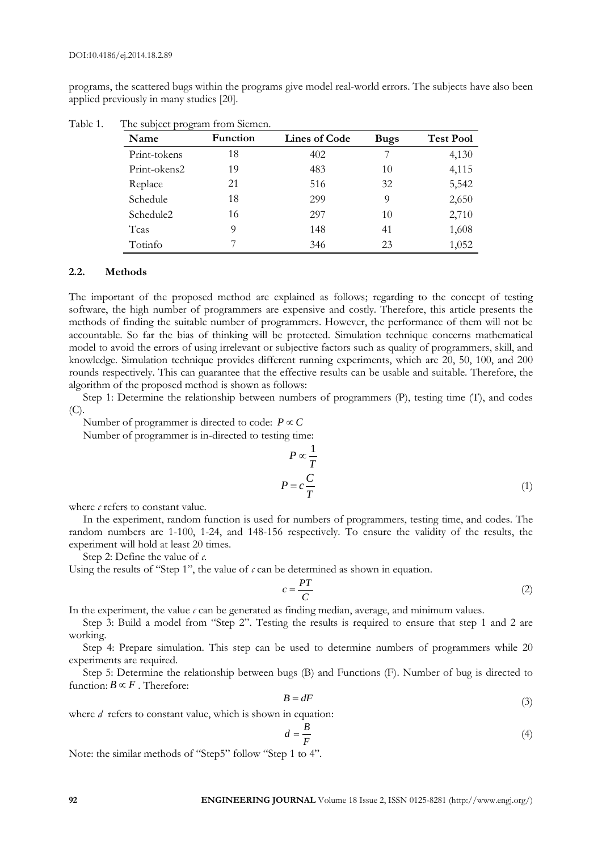programs, the scattered bugs within the programs give model real-world errors. The subjects have also been applied previously in many studies [20].

| Name         | <b>Function</b> | <b>Lines of Code</b> | <b>Bugs</b> | <b>Test Pool</b> |
|--------------|-----------------|----------------------|-------------|------------------|
| Print-tokens | 18              | 402                  |             | 4,130            |
| Print-okens2 | 19              | 483                  | 10          | 4,115            |
| Replace      | 21              | 516                  | 32          | 5,542            |
| Schedule     | 18              | 299                  | 9           | 2,650            |
| Schedule2    | 16              | 297                  | 10          | 2,710            |
| Tcas         | 9               | 148                  | 41          | 1,608            |
| Totinfo      |                 | 346                  | 23          | 1,052            |

Table 1. The subject program from Siemen.

#### **2.2. Methods**

The important of the proposed method are explained as follows; regarding to the concept of testing software, the high number of programmers are expensive and costly. Therefore, this article presents the methods of finding the suitable number of programmers. However, the performance of them will not be accountable. So far the bias of thinking will be protected. Simulation technique concerns mathematical model to avoid the errors of using irrelevant or subjective factors such as quality of programmers, skill, and knowledge. Simulation technique provides different running experiments, which are 20, 50, 100, and 200 rounds respectively. This can guarantee that the effective results can be usable and suitable. Therefore, the algorithm of the proposed method is shown as follows:

Step 1: Determine the relationship between numbers of programmers (P), testing time (T), and codes (C).

Number of programmer is directed to code:  $P \propto C$ 

Number of programmer is in-directed to testing time:

$$
P \propto \frac{1}{T}
$$
  

$$
P = c \frac{C}{T}
$$
 (1)

where  $\epsilon$  refers to constant value.

In the experiment, random function is used for numbers of programmers, testing time, and codes. The random numbers are 1-100, 1-24, and 148-156 respectively. To ensure the validity of the results, the experiment will hold at least 20 times.

Step 2: Define the value of *c*.

Using the results of "Step 1", the value of  $\epsilon$  can be determined as shown in equation.

$$
c = \frac{PT}{C} \tag{2}
$$

In the experiment, the value  $\epsilon$  can be generated as finding median, average, and minimum values.

Step 3: Build a model from "Step 2". Testing the results is required to ensure that step 1 and 2 are working.

Step 4: Prepare simulation. This step can be used to determine numbers of programmers while 20 experiments are required.

Step 5: Determine the relationship between bugs (B) and Functions (F). Number of bug is directed to function:  $B \propto F$ . Therefore:

$$
B = dF \tag{3}
$$

where *d* refers to constant value, which is shown in equation:

$$
d = \frac{B}{F} \tag{4}
$$

Note: the similar methods of "Step5" follow "Step 1 to 4".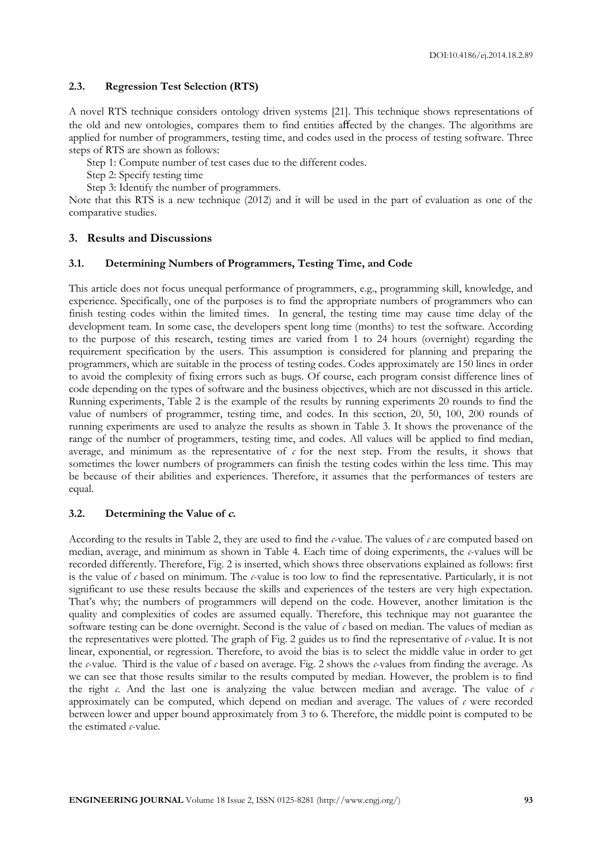#### **2.3. Regression Test Selection (RTS)**

A novel RTS technique considers ontology driven systems [21]. This technique shows representations of the old and new ontologies, compares them to find entities affected by the changes. The algorithms are applied for number of programmers, testing time, and codes used in the process of testing software. Three steps of RTS are shown as follows:

Step 1: Compute number of test cases due to the different codes.

Step 2: Specify testing time

Step 3: Identify the number of programmers.

Note that this RTS is a new technique (2012) and it will be used in the part of evaluation as one of the comparative studies.

# **3. Results and Discussions**

#### **3.1. Determining Numbers of Programmers, Testing Time, and Code**

This article does not focus unequal performance of programmers, e.g., programming skill, knowledge, and experience. Specifically, one of the purposes is to find the appropriate numbers of programmers who can finish testing codes within the limited times. In general, the testing time may cause time delay of the development team. In some case, the developers spent long time (months) to test the software. According to the purpose of this research, testing times are varied from 1 to 24 hours (overnight) regarding the requirement specification by the users. This assumption is considered for planning and preparing the programmers, which are suitable in the process of testing codes. Codes approximately are 150 lines in order to avoid the complexity of fixing errors such as bugs. Of course, each program consist difference lines of code depending on the types of software and the business objectives, which are not discussed in this article. Running experiments, Table 2 is the example of the results by running experiments 20 rounds to find the value of numbers of programmer, testing time, and codes. In this section, 20, 50, 100, 200 rounds of running experiments are used to analyze the results as shown in Table 3. It shows the provenance of the range of the number of programmers, testing time, and codes. All values will be applied to find median, average, and minimum as the representative of  $c$  for the next step. From the results, it shows that sometimes the lower numbers of programmers can finish the testing codes within the less time. This may be because of their abilities and experiences. Therefore, it assumes that the performances of testers are equal.

# **3.2. Determining the Value of c.**

According to the results in Table 2, they are used to find the *c*-value. The values of *c* are computed based on median, average, and minimum as shown in Table 4. Each time of doing experiments, the *c*-values will be recorded differently. Therefore, Fig. 2 is inserted, which shows three observations explained as follows: first is the value of *c* based on minimum. The *c*-value is too low to find the representative. Particularly, it is not significant to use these results because the skills and experiences of the testers are very high expectation. That's why; the numbers of programmers will depend on the code. However, another limitation is the quality and complexities of codes are assumed equally. Therefore, this technique may not guarantee the software testing can be done overnight. Second is the value of *c* based on median. The values of median as the representatives were plotted. The graph of Fig. 2 guides us to find the representative of *c*-value. It is not linear, exponential, or regression. Therefore, to avoid the bias is to select the middle value in order to get the *c*-value. Third is the value of *c* based on average. Fig. 2 shows the *c*-values from finding the average. As we can see that those results similar to the results computed by median. However, the problem is to find the right *c.* And the last one is analyzing the value between median and average. The value of *c* approximately can be computed, which depend on median and average. The values of *c* were recorded between lower and upper bound approximately from 3 to 6. Therefore, the middle point is computed to be the estimated *c*-value.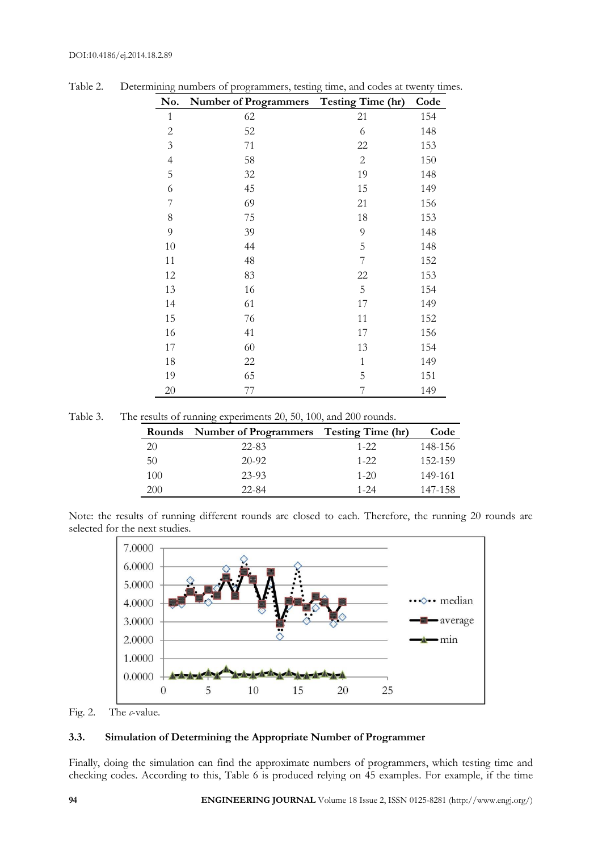| No.            | <b>Number of Programmers</b> | <b>Testing Time (hr)</b> | Code |
|----------------|------------------------------|--------------------------|------|
| $\mathbf{1}$   | 62                           | 21                       | 154  |
| $\sqrt{2}$     | 52                           | 6                        | 148  |
| $\mathfrak{Z}$ | 71                           | 22                       | 153  |
| $\overline{4}$ | 58                           | $\sqrt{2}$               | 150  |
| 5              | 32                           | 19                       | 148  |
| 6              | 45                           | 15                       | 149  |
| 7              | 69                           | 21                       | 156  |
| $8\,$          | 75                           | 18                       | 153  |
| 9              | 39                           | 9                        | 148  |
| 10             | 44                           | 5                        | 148  |
| 11             | 48                           | $\overline{7}$           | 152  |
| 12             | 83                           | 22                       | 153  |
| 13             | 16                           | 5                        | 154  |
| 14             | 61                           | 17                       | 149  |
| 15             | 76                           | 11                       | 152  |
| 16             | 41                           | 17                       | 156  |
| 17             | 60                           | 13                       | 154  |
| 18             | 22                           | $\mathbf{1}$             | 149  |
| 19             | 65                           | 5                        | 151  |
| 20             | 77                           | $\overline{7}$           | 149  |

Table 2. Determining numbers of programmers, testing time, and codes at twenty times.

| Table 3. |  | The results of running experiments 20, 50, 100, and 200 rounds. |  |  |
|----------|--|-----------------------------------------------------------------|--|--|
|          |  |                                                                 |  |  |

| Rounds | Number of Programmers Testing Time (hr) |          | Code    |
|--------|-----------------------------------------|----------|---------|
| 20     | $22 - 83$                               | $1 - 22$ | 148-156 |
| 50     | $20-92$                                 | $1 - 22$ | 152-159 |
| 100    | 23-93                                   | $1 - 20$ | 149-161 |
| 200    | $22 - 84$                               | $1 - 24$ | 147-158 |

Note: the results of running different rounds are closed to each. Therefore, the running 20 rounds are selected for the next studies.



Fig. 2. The *c*-value.

# **3.3. Simulation of Determining the Appropriate Number of Programmer**

Finally, doing the simulation can find the approximate numbers of programmers, which testing time and checking codes. According to this, Table 6 is produced relying on 45 examples. For example, if the time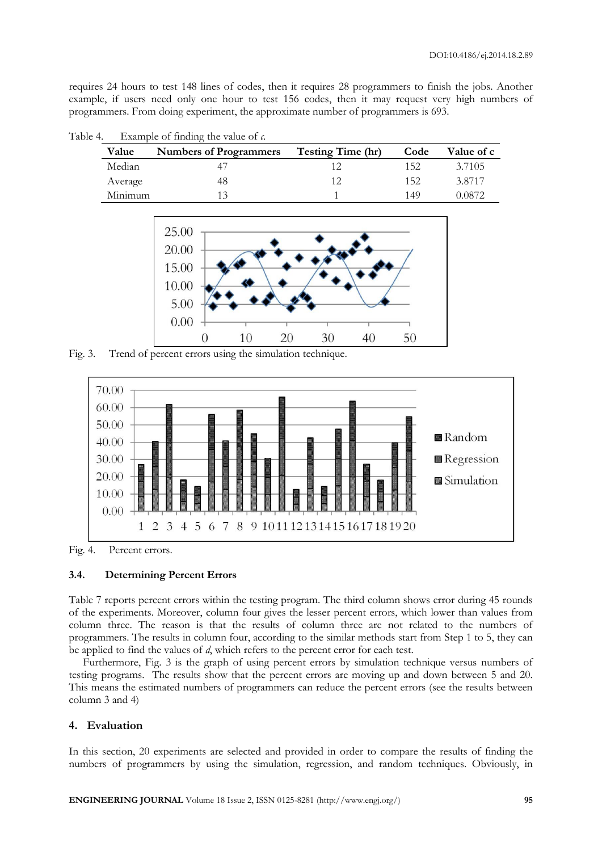requires 24 hours to test 148 lines of codes, then it requires 28 programmers to finish the jobs. Another example, if users need only one hour to test 156 codes, then it may request very high numbers of programmers. From doing experiment, the approximate number of programmers is 693.

| IC T. |         | $\Gamma$ and $\Gamma$ is the same $\Gamma$ is the value of $\mu$ . |                          |      |                   |
|-------|---------|--------------------------------------------------------------------|--------------------------|------|-------------------|
|       | Value   | <b>Numbers of Programmers</b>                                      | <b>Testing Time (hr)</b> | Code | <b>Value of c</b> |
|       | Median  |                                                                    |                          | 152  | 3.7105            |
|       | Average | 48                                                                 |                          | 152  | 3.8717            |
|       | Minimum | 13                                                                 |                          | 149  | 0.0872            |

Table 4. Example of finding the value of *c.*



Fig. 3. Trend of percent errors using the simulation technique.



Fig. 4. Percent errors.

# **3.4. Determining Percent Errors**

Table 7 reports percent errors within the testing program. The third column shows error during 45 rounds of the experiments. Moreover, column four gives the lesser percent errors, which lower than values from column three. The reason is that the results of column three are not related to the numbers of programmers. The results in column four, according to the similar methods start from Step 1 to 5, they can be applied to find the values of *d*, which refers to the percent error for each test.

Furthermore, Fig. 3 is the graph of using percent errors by simulation technique versus numbers of testing programs. The results show that the percent errors are moving up and down between 5 and 20. This means the estimated numbers of programmers can reduce the percent errors (see the results between column 3 and 4)

# **4. Evaluation**

In this section, 20 experiments are selected and provided in order to compare the results of finding the numbers of programmers by using the simulation, regression, and random techniques. Obviously, in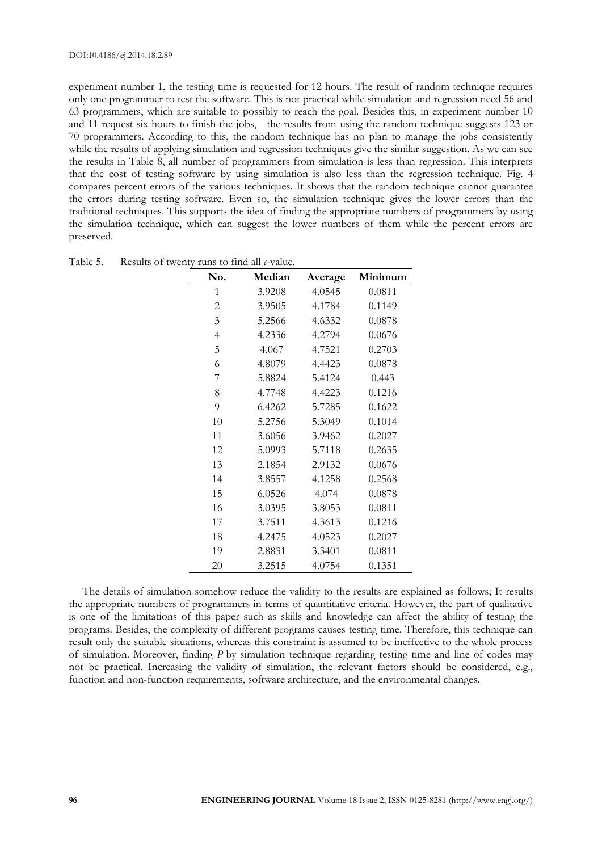experiment number 1, the testing time is requested for 12 hours. The result of random technique requires only one programmer to test the software. This is not practical while simulation and regression need 56 and 63 programmers, which are suitable to possibly to reach the goal. Besides this, in experiment number 10 and 11 request six hours to finish the jobs, the results from using the random technique suggests 123 or 70 programmers. According to this, the random technique has no plan to manage the jobs consistently while the results of applying simulation and regression techniques give the similar suggestion. As we can see the results in Table 8, all number of programmers from simulation is less than regression. This interprets that the cost of testing software by using simulation is also less than the regression technique. Fig. 4 compares percent errors of the various techniques. It shows that the random technique cannot guarantee the errors during testing software. Even so, the simulation technique gives the lower errors than the traditional techniques. This supports the idea of finding the appropriate numbers of programmers by using the simulation technique, which can suggest the lower numbers of them while the percent errors are preserved.

| No.            | Median | Average | Minimum |
|----------------|--------|---------|---------|
| 1              | 3.9208 | 4.0545  | 0.0811  |
| $\overline{c}$ | 3.9505 | 4.1784  | 0.1149  |
| $\mathfrak{Z}$ | 5.2566 | 4.6332  | 0.0878  |
| $\overline{4}$ | 4.2336 | 4.2794  | 0.0676  |
| 5              | 4.067  | 4.7521  | 0.2703  |
| 6              | 4.8079 | 4.4423  | 0.0878  |
| 7              | 5.8824 | 5.4124  | 0.443   |
| 8              | 4.7748 | 4.4223  | 0.1216  |
| 9              | 6.4262 | 5.7285  | 0.1622  |
| 10             | 5.2756 | 5.3049  | 0.1014  |
| 11             | 3.6056 | 3.9462  | 0.2027  |
| 12             | 5.0993 | 5.7118  | 0.2635  |
| 13             | 2.1854 | 2.9132  | 0.0676  |
| 14             | 3.8557 | 4.1258  | 0.2568  |
| 15             | 6.0526 | 4.074   | 0.0878  |
| 16             | 3.0395 | 3.8053  | 0.0811  |
| 17             | 3.7511 | 4.3613  | 0.1216  |
| 18             | 4.2475 | 4.0523  | 0.2027  |
| 19             | 2.8831 | 3.3401  | 0.0811  |
| 20             | 3.2515 | 4.0754  | 0.1351  |

| Table 5.<br>Results of twenty runs to find all c-value. |  |
|---------------------------------------------------------|--|
|---------------------------------------------------------|--|

The details of simulation somehow reduce the validity to the results are explained as follows; It results the appropriate numbers of programmers in terms of quantitative criteria. However, the part of qualitative is one of the limitations of this paper such as skills and knowledge can affect the ability of testing the programs. Besides, the complexity of different programs causes testing time. Therefore, this technique can result only the suitable situations, whereas this constraint is assumed to be ineffective to the whole process of simulation. Moreover, finding *P* by simulation technique regarding testing time and line of codes may not be practical. Increasing the validity of simulation, the relevant factors should be considered, e.g., function and non-function requirements, software architecture, and the environmental changes.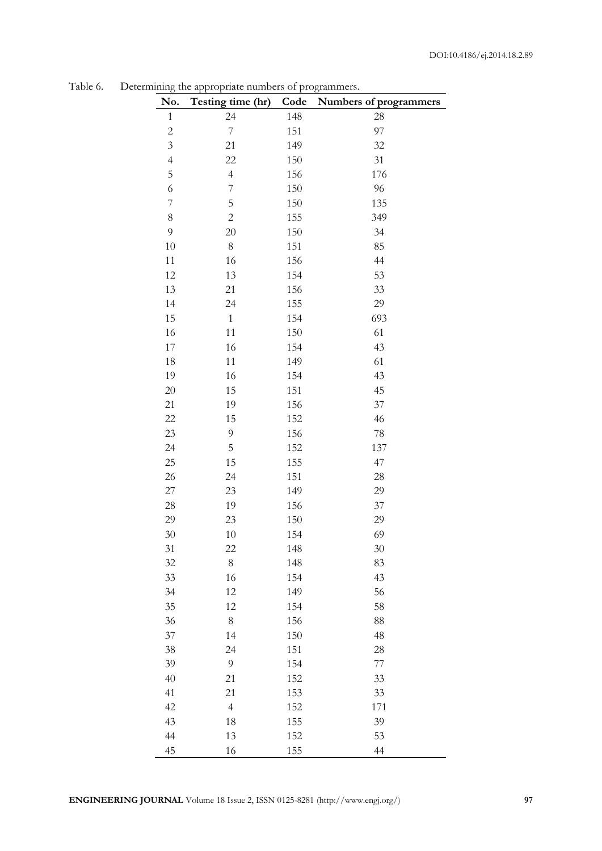| No.                      | Testing time (hr)        | Code       | Numbers of programmers |
|--------------------------|--------------------------|------------|------------------------|
| $\mathbf{1}$             | 24                       | 148        | 28                     |
| $\overline{c}$           | $\overline{\mathcal{I}}$ | 151        | 97                     |
| $\mathfrak{Z}$           | 21                       | 149        | 32                     |
| $\overline{4}$           | 22                       | 150        | 31                     |
| 5                        | $\overline{4}$           | 156        | 176                    |
| 6                        | $\overline{\mathcal{I}}$ | 150        | 96                     |
| $\overline{\mathcal{I}}$ | 5                        | 150        | 135                    |
| $8\,$                    | $\sqrt{2}$               | 155        | 349                    |
| 9                        | 20                       | 150        | 34                     |
| 10                       | $8\,$                    | 151        | 85                     |
| 11                       | 16                       | 156        | 44                     |
| 12                       | 13                       | 154        | 53                     |
| 13                       | 21                       | 156        | 33                     |
| 14                       | 24                       | 155        | 29                     |
| 15                       | $\mathbf{1}$             | 154        | 693                    |
| 16                       | 11                       | 150        | 61                     |
| 17                       | 16                       | 154        | 43                     |
| 18                       | 11                       | 149        | 61                     |
| 19                       | 16                       | 154        | 43                     |
| $20\,$                   | 15                       | 151        | 45                     |
| 21                       | 19                       | 156        | 37                     |
| 22                       | 15                       | 152        | 46                     |
| 23                       | 9                        | 156        | $78\,$                 |
| 24                       | 5                        | 152        | 137                    |
| 25                       | 15                       | 155        | 47                     |
| 26                       | 24                       | 151        | 28                     |
| $27\,$                   | 23                       | 149        | 29                     |
| 28                       | 19                       | 156        | 37                     |
| 29                       | 23                       | 150        | 29                     |
| 30                       | 10                       | 154        | 69                     |
| 31                       | 22                       | 148        | 30                     |
| $32\,$                   | $8\,$                    | 148        | 83<br>43               |
| 33                       | 16                       | 154        |                        |
| 34<br>35                 | 12                       | 149        | 56<br>58               |
|                          | 12                       | 154        |                        |
| 36<br>37                 | $8\,$<br>14              | 156        | 88<br>48               |
| 38                       | 24                       | 150<br>151 | 28                     |
| 39                       | 9                        |            | 77                     |
| 40                       | 21                       | 154<br>152 | 33                     |
| 41                       | 21                       |            |                        |
| 42                       | $\overline{4}$           | 153<br>152 | 33<br>171              |
| 43                       | 18                       | 155        | 39                     |
| 44                       | 13                       | 152        | 53                     |
| 45                       | 16                       | 155        | 44                     |
|                          |                          |            |                        |

Table 6. Determining the appropriate numbers of  $\cdot$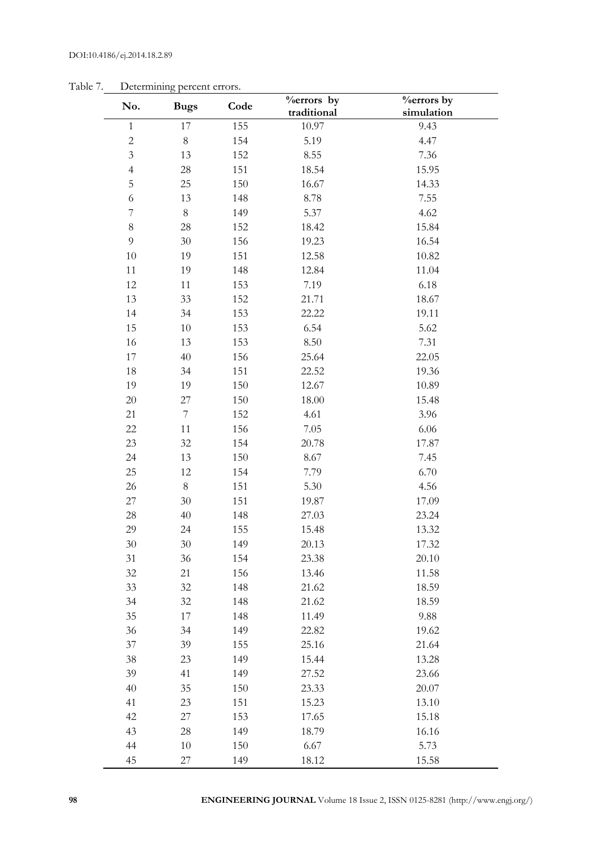| No.                     | <b>Bugs</b>      | Code | <b>%errors</b> by | <b>%errors</b> by |
|-------------------------|------------------|------|-------------------|-------------------|
|                         |                  |      | traditional       | simulation        |
| $\mathbf{1}$            | 17               | 155  | 10.97             | 9.43              |
| $\overline{c}$          | $\,8\,$          | 154  | 5.19              | 4.47              |
| $\overline{\mathbf{3}}$ | 13               | 152  | 8.55              | 7.36              |
| $\overline{4}$          | 28               | 151  | 18.54             | 15.95             |
| 5                       | 25               | 150  | 16.67             | 14.33             |
| 6                       | 13               | 148  | 8.78              | 7.55              |
| $\overline{7}$          | $8\,$            | 149  | 5.37              | 4.62              |
| $\,8\,$                 | 28               | 152  | 18.42             | 15.84             |
| 9                       | 30               | 156  | 19.23             | 16.54             |
| 10                      | 19               | 151  | 12.58             | 10.82             |
| $11$                    | 19               | 148  | 12.84             | 11.04             |
| 12                      | 11               | 153  | 7.19              | 6.18              |
| 13                      | 33               | 152  | 21.71             | 18.67             |
| 14                      | 34               | 153  | 22.22             | 19.11             |
| 15                      | 10               | 153  | 6.54              | 5.62              |
| 16                      | 13               | 153  | 8.50              | 7.31              |
| 17                      | 40               | 156  | 25.64             | 22.05             |
| 18                      | 34               | 151  | 22.52             | 19.36             |
| 19                      | 19               | 150  | 12.67             | 10.89             |
| 20                      | 27               | 150  | 18.00             | 15.48             |
| 21                      | $\boldsymbol{7}$ | 152  | 4.61              | 3.96              |
| 22                      | 11               | 156  | 7.05              | 6.06              |
| 23                      | 32               | 154  | 20.78             | 17.87             |
| 24                      | 13               | 150  | 8.67              | 7.45              |
| 25                      | 12               | 154  | 7.79              | 6.70              |
| 26                      | $8\,$            | 151  | 5.30              | 4.56              |
| $27\,$                  | 30               | 151  | 19.87             | 17.09             |
| 28                      | 40               | 148  | 27.03             | 23.24             |
| 29                      | 24               | 155  | 15.48             | 13.32             |
| $30\,$                  | $30\,$           | 149  | 20.13             | 17.32             |
| 31                      | 36               | 154  | 23.38             | 20.10             |
| 32                      | 21               | 156  | 13.46             | 11.58             |
| 33                      | 32               | 148  | 21.62             | 18.59             |
| 34                      | $32\,$           | 148  | 21.62             | 18.59             |
| 35                      | 17               | 148  | 11.49             | 9.88              |
| 36                      | 34               | 149  | 22.82             | 19.62             |
| 37                      | 39               | 155  | 25.16             | 21.64             |
| 38                      | 23               | 149  | 15.44             | 13.28             |
| 39                      | 41               | 149  | 27.52             | 23.66             |
| 40                      | 35               | 150  | 23.33             | 20.07             |
| 41                      | $23\,$           | 151  | 15.23             | 13.10             |
| 42                      | $27\,$           | 153  | 17.65             | 15.18             |
| 43                      | 28               | 149  | 18.79             | 16.16             |
| 44                      | 10               | 150  | 6.67              | 5.73              |
| 45                      | $27\,$           | 149  | 18.12             | 15.58             |

Table 7. Determining percent errors.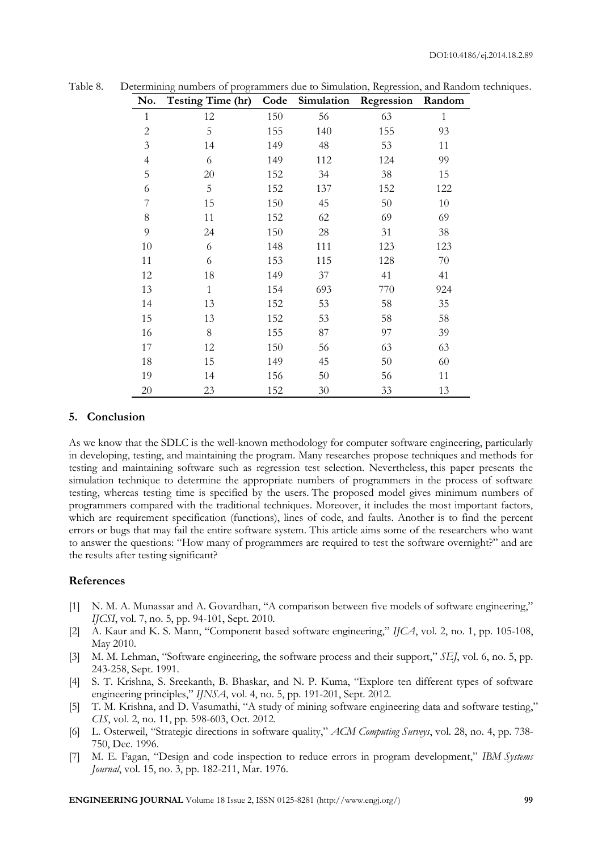| No.            | <b>Testing Time (hr)</b> | Code |        | Simulation Regression | Random       |
|----------------|--------------------------|------|--------|-----------------------|--------------|
| 1              | 12                       | 150  | 56     | 63                    | $\mathbf{1}$ |
| $\overline{2}$ | 5                        | 155  | 140    | 155                   | 93           |
| 3              | 14                       | 149  | 48     | 53                    | 11           |
| $\overline{4}$ | 6                        | 149  | 112    | 124                   | 99           |
| 5              | 20                       | 152  | 34     | 38                    | 15           |
| 6              | $\mathbf 5$              | 152  | 137    | 152                   | 122          |
| $\overline{7}$ | 15                       | 150  | 45     | 50                    | $10\,$       |
| 8              | 11                       | 152  | 62     | 69                    | 69           |
| 9              | 24                       | 150  | 28     | 31                    | 38           |
| 10             | 6                        | 148  | 111    | 123                   | 123          |
| 11             | 6                        | 153  | 115    | 128                   | $70\,$       |
| 12             | 18                       | 149  | 37     | 41                    | 41           |
| 13             | $\mathbf{1}$             | 154  | 693    | 770                   | 924          |
| 14             | 13                       | 152  | 53     | 58                    | $35\,$       |
| 15             | 13                       | 152  | 53     | 58                    | 58           |
| 16             | 8                        | 155  | 87     | 97                    | 39           |
| 17             | 12                       | 150  | 56     | 63                    | 63           |
| 18             | 15                       | 149  | 45     | 50                    | 60           |
| 19             | 14                       | 156  | 50     | 56                    | 11           |
| 20             | 23                       | 152  | $30\,$ | 33                    | 13           |

Table 8. Determining numbers of programmers due to Simulation, Regression, and Random techniques.

# **5. Conclusion**

As we know that the SDLC is the well-known methodology for computer software engineering, particularly in developing, testing, and maintaining the program. Many researches propose techniques and methods for testing and maintaining software such as regression test selection. Nevertheless, this paper presents the simulation technique to determine the appropriate numbers of programmers in the process of software testing, whereas testing time is specified by the users. The proposed model gives minimum numbers of programmers compared with the traditional techniques. Moreover, it includes the most important factors, which are requirement specification (functions), lines of code, and faults. Another is to find the percent errors or bugs that may fail the entire software system. This article aims some of the researchers who want to answer the questions: "How many of programmers are required to test the software overnight?" and are the results after testing significant?

#### **References**

- [1] N. M. A. Munassar and A. Govardhan, "A comparison between five models of software engineering," *IJCSI*, vol. 7, no. 5, pp. 94-101, Sept. 2010.
- [2] A. Kaur and K. S. Mann, "Component based software engineering," *IJCA*, vol. 2, no. 1, pp. 105-108, May 2010.
- [3] M. M. Lehman, "Software engineering, the software process and their support," *SEJ*, vol. 6, no. 5, pp. 243-258, Sept. 1991.
- [4] S. T. Krishna, S. Sreekanth, B. Bhaskar, and N. P. Kuma, "Explore ten different types of software engineering principles," *IJNSA*, vol. 4, no. 5, pp. 191-201, Sept. 2012.
- [5] T. M. Krishna, and D. Vasumathi, "A study of mining software engineering data and software testing," *CIS*, vol. 2, no. 11, pp. 598-603, Oct. 2012.
- [6] L. Osterweil, "Strategic directions in software quality," *ACM Computing Surveys*, vol. 28, no. 4, pp. 738- 750, Dec. 1996.
- [7] M. E. Fagan, "Design and code inspection to reduce errors in program development," *IBM Systems Journal*, vol. 15, no. 3, pp. 182-211, Mar. 1976.

**ENGINEERING JOURNAL** Volume 18 Issue 2, ISSN 0125-8281 (http://www.engj.org/) **99**